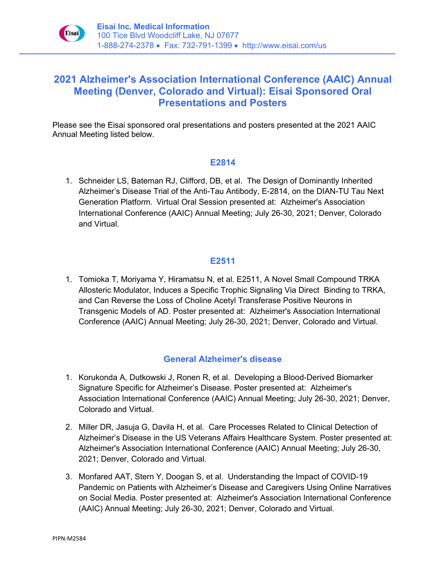

# **2021 Alzheimer's Association International Conference (AAIC) Annual Meeting (Denver, Colorado and Virtual): Eisai Sponsored Oral Presentations and Posters**

Please see the Eisai sponsored oral presentations and posters presented at the 2021 AAIC Annual Meeting listed below.

#### **E2814**

1. Schneider LS, Bateman RJ, Clifford, DB, et al. The Design of Dominantly Inherited Alzheimer's Disease Trial of the Anti-Tau Antibody, E-2814, on the DIAN-TU Tau Next Generation Platform. Virtual Oral Session presented at: Alzheimer's Association International Conference (AAIC) Annual Meeting; July 26-30, 2021; Denver, Colorado and Virtual.

## **E2511**

1. Tomioka T, Moriyama Y, Hiramatsu N, et al. E2511, A Novel Small Compound TRKA Allosteric Modulator, Induces a Specific Trophic Signaling Via Direct Binding to TRKA, and Can Reverse the Loss of Choline Acetyl Transferase Positive Neurons in Transgenic Models of AD. Poster presented at: Alzheimer's Association International Conference (AAIC) Annual Meeting; July 26-30, 2021; Denver, Colorado and Virtual.

## **General Alzheimer's disease**

- 1. Korukonda A, Dutkowski J, Ronen R, et al. Developing a Blood-Derived Biomarker Signature Specific for Alzheimer's Disease. Poster presented at: Alzheimer's Association International Conference (AAIC) Annual Meeting; July 26-30, 2021; Denver, Colorado and Virtual.
- 2. Miller DR, Jasuja G, Davila H, et al. Care Processes Related to Clinical Detection of Alzheimer's Disease in the US Veterans Affairs Healthcare System. Poster presented at: Alzheimer's Association International Conference (AAIC) Annual Meeting; July 26-30, 2021; Denver, Colorado and Virtual.
- 3. Monfared AAT, Stern Y, Doogan S, et al. Understanding the Impact of COVID-19 Pandemic on Patients with Alzheimer's Disease and Caregivers Using Online Narratives on Social Media. Poster presented at: Alzheimer's Association International Conference (AAIC) Annual Meeting; July 26-30, 2021; Denver, Colorado and Virtual.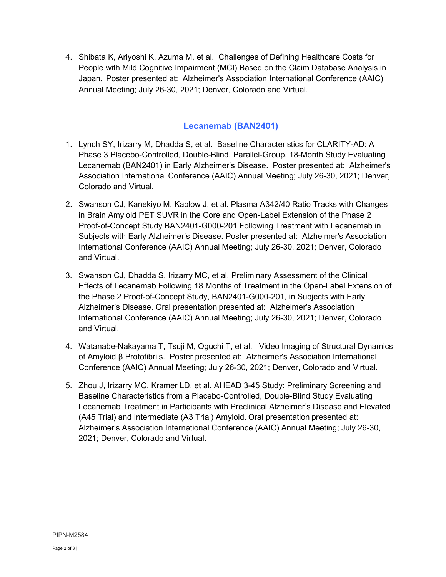4. Shibata K, Ariyoshi K, Azuma M, et al. Challenges of Defining Healthcare Costs for People with Mild Cognitive Impairment (MCI) Based on the Claim Database Analysis in Japan. Poster presented at: Alzheimer's Association International Conference (AAIC) Annual Meeting; July 26-30, 2021; Denver, Colorado and Virtual.

### **Lecanemab (BAN2401)**

- 1. Lynch SY, Irizarry M, Dhadda S, et al. Baseline Characteristics for CLARITY-AD: A Phase 3 Placebo-Controlled, Double-Blind, Parallel-Group, 18-Month Study Evaluating Lecanemab (BAN2401) in Early Alzheimer's Disease. Poster presented at: Alzheimer's Association International Conference (AAIC) Annual Meeting; July 26-30, 2021; Denver, Colorado and Virtual.
- 2. Swanson CJ, Kanekiyo M, Kaplow J, et al. Plasma Aβ42/40 Ratio Tracks with Changes in Brain Amyloid PET SUVR in the Core and Open-Label Extension of the Phase 2 Proof-of-Concept Study BAN2401-G000-201 Following Treatment with Lecanemab in Subjects with Early Alzheimer's Disease. Poster presented at: Alzheimer's Association International Conference (AAIC) Annual Meeting; July 26-30, 2021; Denver, Colorado and Virtual.
- 3. Swanson CJ, Dhadda S, Irizarry MC, et al. Preliminary Assessment of the Clinical Effects of Lecanemab Following 18 Months of Treatment in the Open-Label Extension of the Phase 2 Proof-of-Concept Study, BAN2401-G000-201, in Subjects with Early Alzheimer's Disease. Oral presentation presented at: Alzheimer's Association International Conference (AAIC) Annual Meeting; July 26-30, 2021; Denver, Colorado and Virtual.
- 4. Watanabe-Nakayama T, Tsuji M, Oguchi T, et al. Video Imaging of Structural Dynamics of Amyloid β Protofibrils. Poster presented at: Alzheimer's Association International Conference (AAIC) Annual Meeting; July 26-30, 2021; Denver, Colorado and Virtual.
- 5. Zhou J, Irizarry MC, Kramer LD, et al. AHEAD 3-45 Study: Preliminary Screening and Baseline Characteristics from a Placebo-Controlled, Double-Blind Study Evaluating Lecanemab Treatment in Participants with Preclinical Alzheimer's Disease and Elevated (A45 Trial) and Intermediate (A3 Trial) Amyloid. Oral presentation presented at: Alzheimer's Association International Conference (AAIC) Annual Meeting; July 26-30, 2021; Denver, Colorado and Virtual.